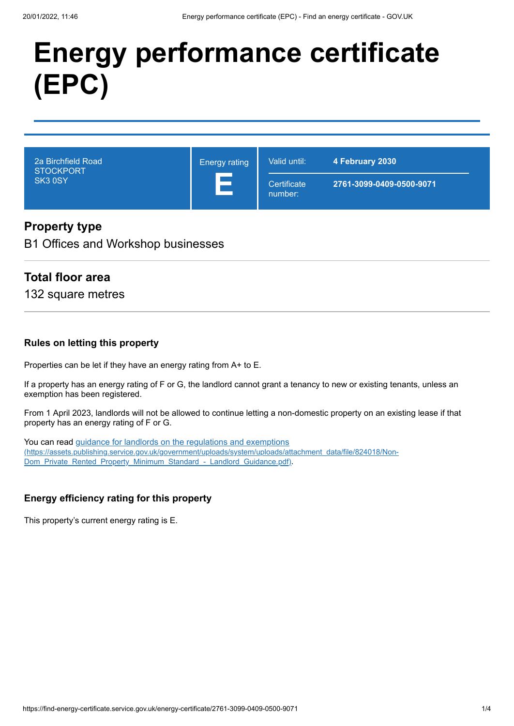# **Energy performance certificate (EPC)**

| 2a Birchfield Road<br><b>STOCKPORT</b><br>SK3 0SY | <b>Energy rating</b> | Valid until:           | 4 February 2030          |
|---------------------------------------------------|----------------------|------------------------|--------------------------|
|                                                   |                      | Certificate<br>number: | 2761-3099-0409-0500-9071 |

#### **Property type**

B1 Offices and Workshop businesses

#### **Total floor area**

132 square metres

#### **Rules on letting this property**

Properties can be let if they have an energy rating from A+ to E.

If a property has an energy rating of F or G, the landlord cannot grant a tenancy to new or existing tenants, unless an exemption has been registered.

From 1 April 2023, landlords will not be allowed to continue letting a non-domestic property on an existing lease if that property has an energy rating of F or G.

You can read guidance for landlords on the regulations and exemptions [\(https://assets.publishing.service.gov.uk/government/uploads/system/uploads/attachment\\_data/file/824018/Non-](https://assets.publishing.service.gov.uk/government/uploads/system/uploads/attachment_data/file/824018/Non-Dom_Private_Rented_Property_Minimum_Standard_-_Landlord_Guidance.pdf)Dom\_Private\_Rented\_Property\_Minimum\_Standard\_-\_Landlord\_Guidance.pdf).

#### **Energy efficiency rating for this property**

This property's current energy rating is E.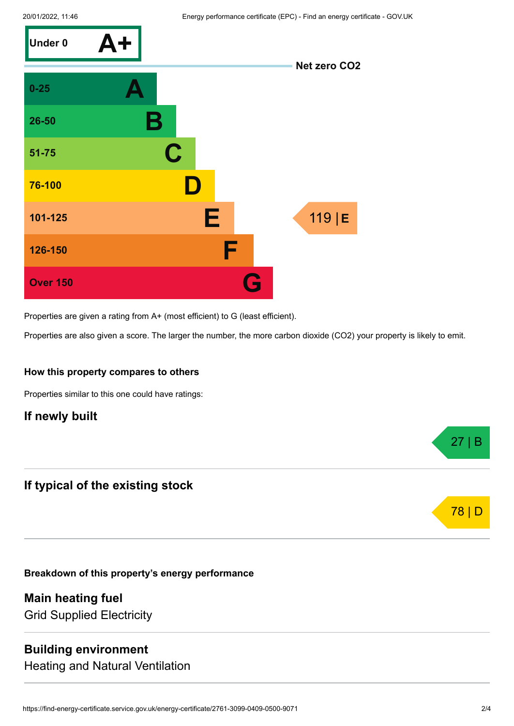

Properties are given a rating from A+ (most efficient) to G (least efficient).

Properties are also given a score. The larger the number, the more carbon dioxide (CO2) your property is likely to emit.

#### **How this property compares to others**

Properties similar to this one could have ratings:

#### **If newly built**

#### **If typical of the existing stock**

**Breakdown of this property's energy performance**

**Main heating fuel** Grid Supplied Electricity

#### **Building environment**

Heating and Natural Ventilation

27 | B

78 | D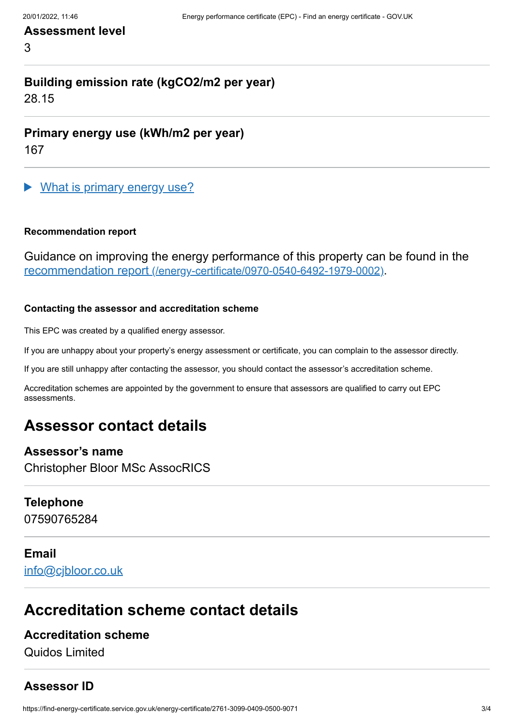#### **Assessment level**

3

# **Building emission rate (kgCO2/m2 per year)**

28.15

**Primary energy use (kWh/m2 per year)**

167

What is primary energy use?

#### **Recommendation report**

Guidance on improving the energy performance of this property can be found in the recommendation report [\(/energy-certificate/0970-0540-6492-1979-0002\)](https://find-energy-certificate.service.gov.uk/energy-certificate/0970-0540-6492-1979-0002).

#### **Contacting the assessor and accreditation scheme**

This EPC was created by a qualified energy assessor.

If you are unhappy about your property's energy assessment or certificate, you can complain to the assessor directly.

If you are still unhappy after contacting the assessor, you should contact the assessor's accreditation scheme.

Accreditation schemes are appointed by the government to ensure that assessors are qualified to carry out EPC assessments.

## **Assessor contact details**

#### **Assessor's name**

Christopher Bloor MSc AssocRICS

#### **Telephone**

07590765284

# **Email**

[info@cjbloor.co.uk](mailto:info@cjbloor.co.uk)

## **Accreditation scheme contact details**

#### **Accreditation scheme**

Quidos Limited

#### **Assessor ID**